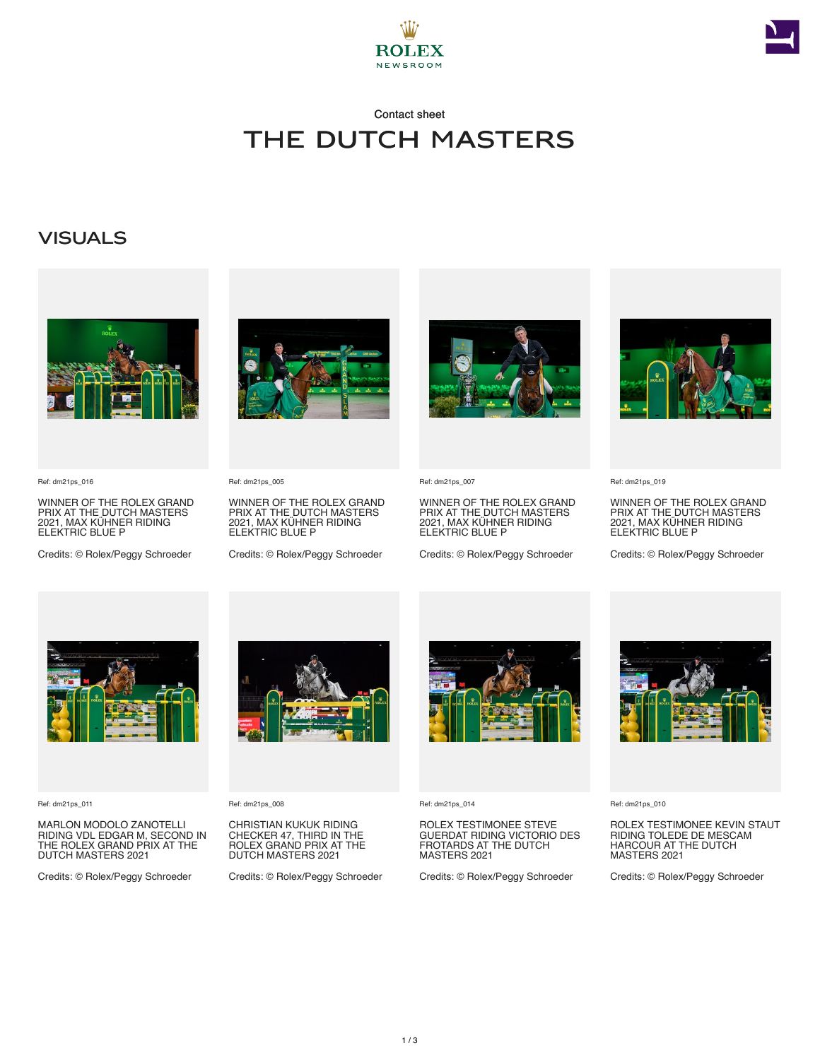



# Contact sheet The Dutch Masters

### **VISUALS**



Ref: dm21ps\_016

WINNER OF THE ROLEX GRAND PRIX AT THE DUTCH MASTERS 2021, MAX KÜHNER RIDING ELEKTRIC BLUE P

Credits: © Rolex/Peggy Schroeder



Ref: dm21ps\_005

WINNER OF THE ROLEX GRAND PRIX AT THE DUTCH MASTERS 2021, MAX KÜHNER RIDING ELEKTRIC BLUE P

Credits: © Rolex/Peggy Schroeder



Ref: dm21ps\_007

WINNER OF THE ROLEX GRAND PRIX AT THE DUTCH MASTERS 2021, MAX KÜHNER RIDING ELEKTRIC BLUE P

Credits: © Rolex/Peggy Schroeder



Ref: dm21ps\_019

WINNER OF THE ROLEX GRAND PRIX AT THE DUTCH MASTERS 2021, MAX KÜHNER RIDING ELEKTRIC BLUE P

Credits: © Rolex/Peggy Schroeder



Ref: dm21ps\_011

MARLON MODOLO ZANOTELLI RIDING VDL EDGAR M, SECOND IN THE ROLEX GRAND PRIX AT THE DUTCH MASTERS 2021

Credits: © Rolex/Peggy Schroeder



Ref: dm21ps\_008

CHRISTIAN KUKUK RIDING CHECKER 47, THIRD IN THE ROLEX GRAND PRIX AT THE DUTCH MASTERS 2021

Credits: © Rolex/Peggy Schroeder



Ref: dm21ps\_014

ROLEX TESTIMONEE STEVE GUERDAT RIDING VICTORIO DES FROTARDS AT THE DUTCH MASTERS 2021

Credits: © Rolex/Peggy Schroeder



Ref: dm21ps\_010

ROLEX TESTIMONEE KEVIN STAUT RIDING TOLEDE DE MESCAM HARCOUR AT THE DUTCH MASTERS 2021

Credits: © Rolex/Peggy Schroeder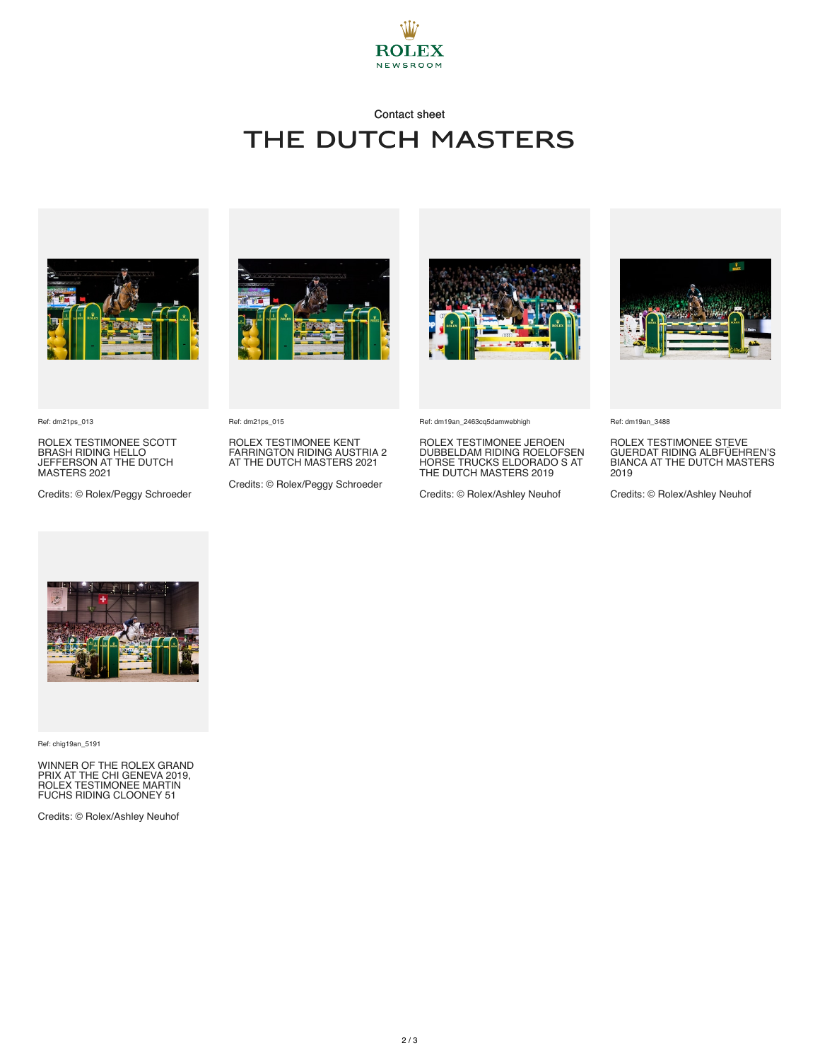

# Contact sheet THE DUTCH MASTERS





ROLEX TESTIMONEE SCOTT BRASH RIDING HELLO JEFFERSON AT THE DUTCH MASTERS 2021

Credits: © Rolex/Peggy Schroeder





ROLEX TESTIMONEE KENT FARRINGTON RIDING AUSTRIA 2 AT THE DUTCH MASTERS 2021

Credits: © Rolex/Peggy Schroeder



Ref: dm19an\_2463cq5damwebhigh

ROLEX TESTIMONEE JEROEN DUBBELDAM RIDING ROELOFSEN HORSE TRUCKS ELDORADO S AT THE DUTCH MASTERS 2019

Credits: © Rolex/Ashley Neuhof



Ref: dm19an\_3488

ROLEX TESTIMONEE STEVE GUERDAT RIDING ALBFÜEHREN'S BIANCA AT THE DUTCH MASTERS 2019

Credits: © Rolex/Ashley Neuhof



Ref: chig19an\_5191

WINNER OF THE ROLEX GRAND PRIX AT THE CHI GENEVA 2019, ROLEX TESTIMONEE MARTIN FUCHS RIDING CLOONEY 51

Credits: © Rolex/Ashley Neuhof